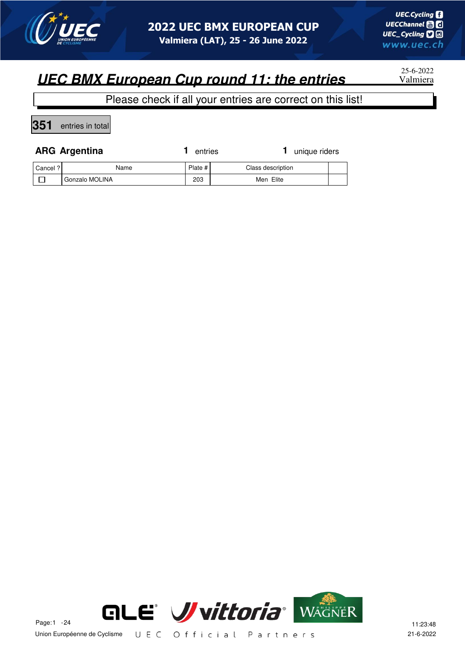

25-6-2022

#### Please check if all your entries are correct on this list!

**351** entries in total

|        | <b>ARG Argentina</b> | entries | 1 unique riders                                         |  |
|--------|----------------------|---------|---------------------------------------------------------|--|
| $\sim$ |                      |         | $\sim$ $\sim$ $\sim$ $\sim$ $\sim$ $\sim$ $\sim$ $\sim$ |  |

| Cancel ? | Name           | Plate # | Class description |  |
|----------|----------------|---------|-------------------|--|
|          | Gonzalo MOLINA | 203     | Men Elite         |  |

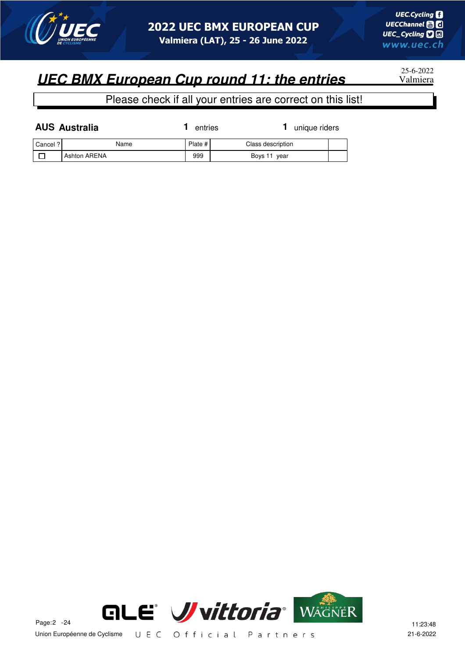

25-6-2022

|          | <b>AUS Australia</b> | entries   | unique riders     |  |
|----------|----------------------|-----------|-------------------|--|
| Cancel ? | Name                 | Plate $#$ | Class description |  |
|          | <b>Ashton ARENA</b>  | 999       | Boys 11 year      |  |

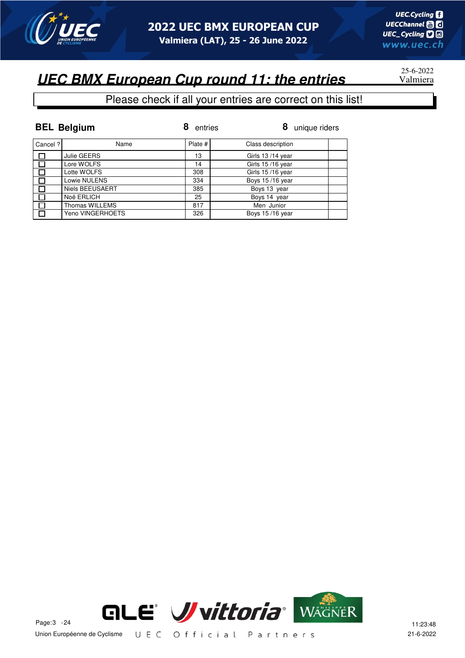

25-6-2022

### **UEC BMX European Cup round 11: the entries**

|          | <b>BEL Belgium</b>     | entries | 8<br>unique riders |
|----------|------------------------|---------|--------------------|
| Cancel ? | Name                   | Plate # | Class description  |
| □        | Julie GEERS            | 13      | Girls 13/14 year   |
| $\Box$   | Lore WOLFS             | 14      | Girls 15/16 year   |
|          | Lotte WOLFS            | 308     | Girls 15/16 year   |
|          | Lowie NULENS           | 334     | Boys 15/16 year    |
|          | <b>Niels BEEUSAERT</b> | 385     | Boys 13 year       |
|          | Noë ERLICH             | 25      | Boys 14 year       |
|          | Thomas WILLEMS         | 817     | Men Junior         |
|          | Yeno VINGERHOETS       | 326     | Boys 15/16 year    |

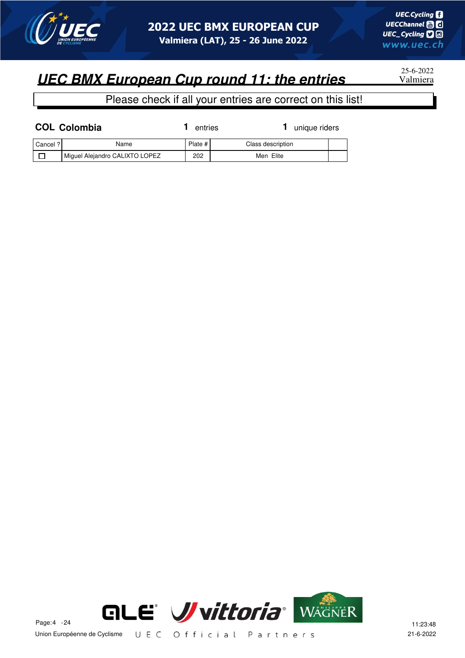

25-6-2022

|          | <b>COL Colombia</b>            | entries | unique riders     |  |
|----------|--------------------------------|---------|-------------------|--|
| Cancel ? | Name                           | Plate # | Class description |  |
|          | Miguel Alejandro CALIXTO LOPEZ | 202     | Men Elite         |  |

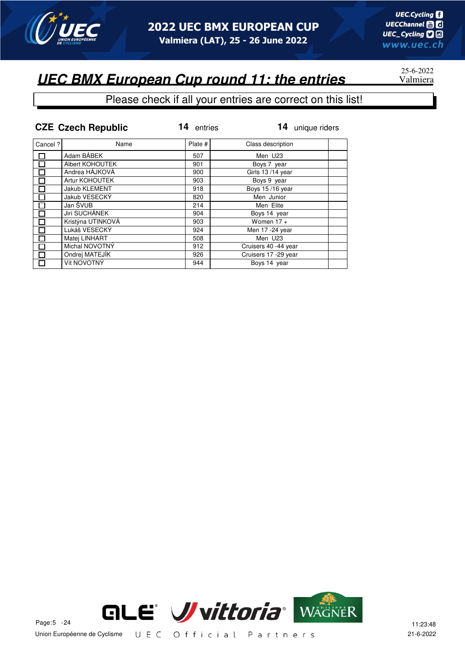

## 25-6-2022

|         | <b>CZE Czech Republic</b> | 14<br>entries | 14<br>unique riders  |
|---------|---------------------------|---------------|----------------------|
| Cancel? | Name                      | Plate #       | Class description    |
|         | Adam BÁBEK                | 507           | Men U23              |
| П       | Albert KOHOUTEK           | 901           | Boys 7 year          |
|         | Andrea HÁJKOVÁ            | 900           | Girls 13/14 year     |
|         | Artur KOHOUTEK            | 903           | Boys 9 year          |
|         | Jakub KLEMENT             | 918           | Boys 15/16 year      |
| П       | Jakub VESECKÝ             | 820           | Men Junior           |
| $\Box$  | Jan ŠVUB                  | 214           | Men Elite            |
| П       | Jirí SUCHÁNEK             | 904           | Boys 14 year         |
|         | Kristýna UTINKOVÁ         | 903           | Women $17 +$         |
|         | Lukáš VESECKÝ             | 924           | Men 17 -24 year      |
| П       | Matei LINHART             | 508           | Men U23              |
|         | Michal NOVOTNÝ            | 912           | Cruisers 40 -44 year |
|         | Ondrej MATEJÍK            | 926           | Cruisers 17 -29 year |
| П       | Vít NOVOTNÝ               | 944           | Boys 14 year         |

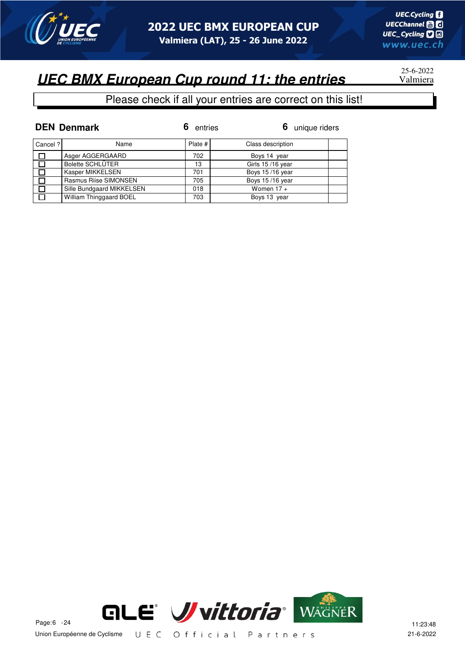

## 25-6-2022

|          | <b>DEN Denmark</b>        | entries | 6 unique riders   |
|----------|---------------------------|---------|-------------------|
| Cancel ? | Name                      | Plate # | Class description |
| $\Box$   | Asger AGGERGAARD          | 702     | Boys 14 year      |
| $\Box$   | <b>Bolette SCHLÜTER</b>   | 13      | Girls 15/16 year  |
| $\Box$   | Kasper MIKKELSEN          | 701     | Boys 15/16 year   |
| П        | Rasmus Riise SIMONSEN     | 705     | Boys 15/16 year   |
| $\Box$   | Sille Bundgaard MIKKELSEN | 018     | Women $17 +$      |
| $\Box$   | William Thinggaard BOEL   | 703     | Boys 13 year      |

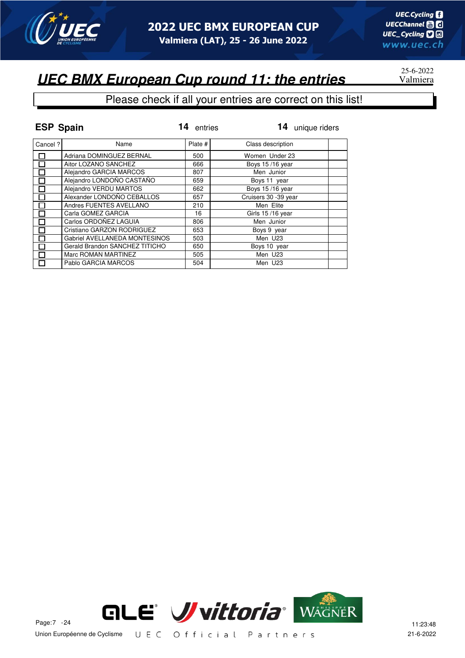

# 25-6-2022

| <b>ESP Spain</b> |                                | 14<br>entries | 14 unique riders     |
|------------------|--------------------------------|---------------|----------------------|
| Cancel?          | Name                           | Plate #       | Class description    |
|                  | Adriana DOMINGUEZ BERNAL       | 500           | Women Under 23       |
|                  | Aitor LOZANO SANCHEZ           | 666           | Boys 15/16 year      |
|                  | Alejandro GARCIA MARCOS        | 807           | Men Junior           |
|                  | Alejandro LONDOÑO CASTAÑO      | 659           | Boys 11 year         |
| П                | Alejandro VERDU MARTOS         | 662           | Boys 15/16 year      |
| $\Box$           | Alexander LONDOÑO CEBALLOS     | 657           | Cruisers 30 -39 year |
|                  | Andres FUENTES AVELLANO        | 210           | Men Elite            |
|                  | Carla GOMEZ GARCIA             | 16            | Girls 15/16 year     |
|                  | Carlos ORDOÑEZ LAGUIA          | 806           | Men Junior           |
|                  | Cristiano GARZON RODRIGUEZ     | 653           | Boys 9 year          |
|                  | Gabriel AVELLANEDA MONTESINOS  | 503           | Men U23              |
|                  | Gerald Brandon SANCHEZ TITICHO | 650           | Boys 10 year         |
| П                | Marc ROMAN MARTINEZ            | 505           | Men U23              |
|                  | Pablo GARCIA MARCOS            | 504           | Men U23              |

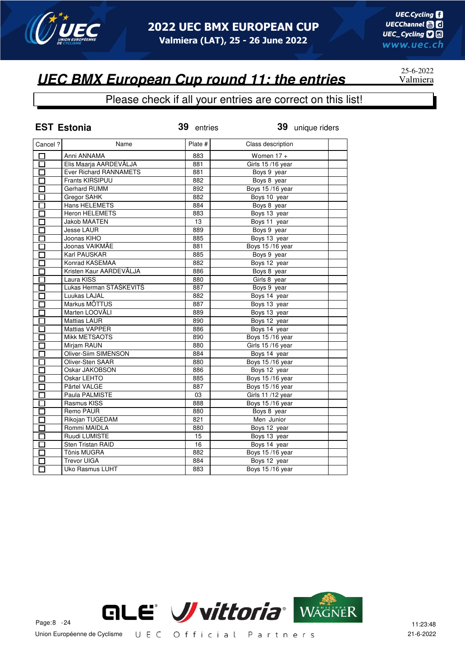

#### Please check if all your entries are correct on this list!

|                   | <b>EST Estonia</b>            | 39 entries | 39 unique riders       |
|-------------------|-------------------------------|------------|------------------------|
| Cancel ?          | Name                          | Plate #    | Class description      |
| □                 | Anni ANNAMA                   | 883        | Women $17 +$           |
| $\overline{\Box}$ | Elis Maarja AARDEVÄLJA        | 881        | Girls 15/16 year       |
| $\overline{\Box}$ | <b>Ever Richard RANNAMETS</b> | 881        | Boys 9 year            |
| П                 | Frants KIRSIPUU               | 882        | Boys 8 year            |
| $\Box$            | <b>Gerhard RUMM</b>           | 892        | Boys 15/16 year        |
| П                 | Gregor SAHK                   | 882        | Boys 10 year           |
| П                 | <b>Hans HELEMETS</b>          | 884        | Boys 8 year            |
| П                 | <b>Heron HELEMETS</b>         | 883        | Boys 13 year           |
| 囗                 | <b>Jakob MAATEN</b>           | 13         | Boys 11 year           |
| П                 | <b>Jesse LAUR</b>             | 889        | Boys 9 year            |
| П                 | Joonas KIHO                   | 885        | Boys 13 year           |
| П                 | Joonas VAIKMÄE                | 881        | Boys 15/16 year        |
| □                 | Karl PAUSKAR                  | 885        | Boys 9 year            |
| П                 | Konrad KASEMAA                | 882        | Boys 12 year           |
| П                 | Kristen Kaur AARDEVÄLJA       | 886        | Boys 8 year            |
| П                 | Laura KISS                    | 880        | Girls 8 year           |
| П                 | Lukas Herman STAŠKEVITŠ       | 887        | Boys 9 year            |
| Π                 | Luukas LAJAL                  | 882        | Boys 14 year           |
| П                 | Markus MÕTTUS                 | 887        | Boys 13 year           |
| П                 | Marten LOOVÄLI                | 889        | Boys 13 year           |
| □                 | <b>Mattias LAUR</b>           | 890        | Boys 12 year           |
| П                 | Mattias VAPPER                | 886        | Boys 14 year           |
| П                 | <b>Mikk METSAOTS</b>          | 890        | Boys 15/16 year        |
| П                 | Mirjam RAUN                   | 880        | Girls 15/16 year       |
| $\Box$            | <b>Oliver-Siim SIMENSON</b>   | 884        | Boys 14 year           |
| П                 | Oliver-Sten SAAR              | 880        | <b>Boys 15/16 year</b> |
| Π                 | Oskar JAKOBSON                | 886        | Boys 12 year           |
| П                 | Oskar LEHTO                   | 885        | Boys 15/16 year        |
| П                 | Pärtel VALGE                  | 887        | Boys 15/16 year        |
| П                 | Paula PALMISTE                | 03         | Girls 11 /12 year      |
| П                 | Rasmus KISS                   | 888        | Boys 15/16 year        |
| П                 | Remo PAUR                     | 880        | Boys 8 year            |
| П                 | Rikojan TUGEDAM               | 821        | Men Junior             |
| П                 | Rommi MAIDLA                  | 880        | Boys 12 year           |
| П                 | Ruudi LUMISTE                 | 15         | Boys 13 year           |
| П                 | <b>Sten Tristan RAID</b>      | 16         | Boys 14 year           |
| $\Box$            | Tõnis MUGRA                   | 882        | Boys 15/16 year        |
|                   | <b>Trevor UIGA</b>            | 884        | Boys 12 year           |
| П                 | Uko Rasmus LUHT               | 883        | <b>Boys 15/16 year</b> |



25-6-2022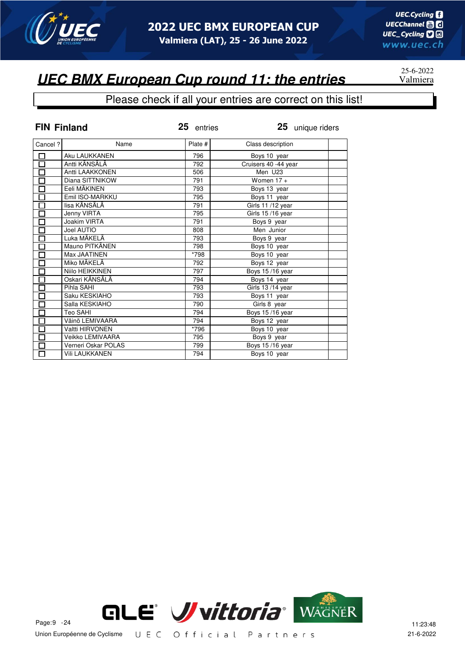

#### Please check if all your entries are correct on this list!

|                   | <b>FIN Finland</b>    | 25 entries | 25 unique riders     |
|-------------------|-----------------------|------------|----------------------|
| Cancel ?          | Name                  | Plate #    | Class description    |
|                   | Aku LAUKKANEN         | 796        | Boys 10 year         |
| 昌日日               | Antti KÄNSÄLÄ         | 792        | Cruisers 40 -44 year |
|                   | Antti LAAKKONEN       | 506        | Men U23              |
|                   | Diana SITTNIKOW       | 791        | Women $17 +$         |
| $\overline{\Box}$ | Eeli MÄKINEN          | 793        | Boys 13 year         |
|                   | Emil ISO-MARKKU       | 795        | Boys 11 year         |
| 目目目               | lisa KÄNSÄLÄ          | 791        | Girls 11/12 year     |
|                   | Jenny VIRTA           | 795        | Girls 15/16 year     |
|                   | Joakim VIRTA          | 791        | Boys 9 year          |
| $\overline{\Xi}$  | Joel AUTIO            | 808        | Men Junior           |
|                   | Luka MÄKELÄ           | 793        | Boys 9 year          |
| 日日                | Mauno PITKÄNEN        | 798        | Boys 10 year         |
|                   | Max JAATINEN          | *798       | Boys 10 year         |
|                   | Miko MÄKELÄ           | 792        | Boys 12 year         |
|                   | Niilo HEIKKINEN       | 797        | Boys 15/16 year      |
| ŌD                | Oskari KÄNSÄLÄ        | 794        | Boys 14 year         |
|                   | Pihla SAHI            | 793        | Girls 13/14 year     |
| Ō                 | Saku KESKIAHO         | 793        | Boys 11 year         |
|                   | Salla KESKIAHO        | 790        | Girls 8 year         |
|                   | Teo SAHI              | 794        | Boys 15/16 year      |
| 미디디디디             | Väinö LEMIVAARA       | 794        | Boys 12 year         |
|                   | Valtti HIRVONEN       | *796       | Boys 10 year         |
|                   | Veikko LEMIVAARA      | 795        | Boys 9 year          |
|                   | Verneri Oskar POLAS   | 799        | Boys 15/16 year      |
| 口                 | <b>Vili LAUKKANEN</b> | 794        | Boys 10 year         |



25-6-2022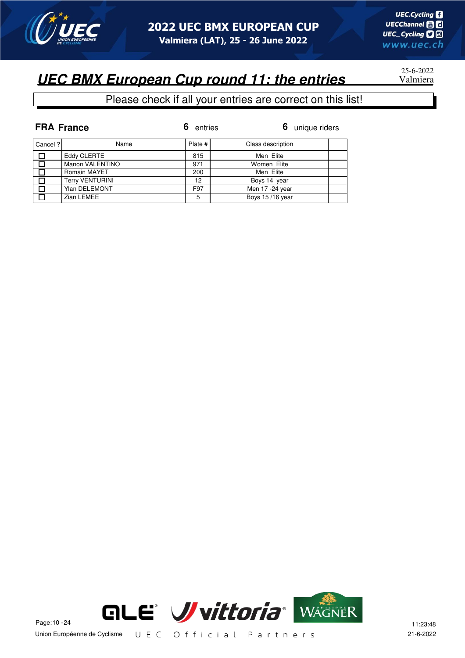

## 25-6-2022

|              | <b>FRA France</b>      | entries | 6 unique riders   |
|--------------|------------------------|---------|-------------------|
| Cancel?      | Name                   | Plate # | Class description |
| П            | Eddy CLERTE            | 815     | Men Elite         |
| П            | Manon VALENTINO        | 971     | Women Elite       |
| $\mathbf{I}$ | Romain MAYET           | 200     | Men Elite         |
| П            | <b>Terry VENTURINI</b> | 12      | Boys 14 year      |
| П            | <b>Ylan DELEMONT</b>   | F97     | Men 17 - 24 year  |
|              | Zian LEMEE             | 5       | Boys 15/16 year   |

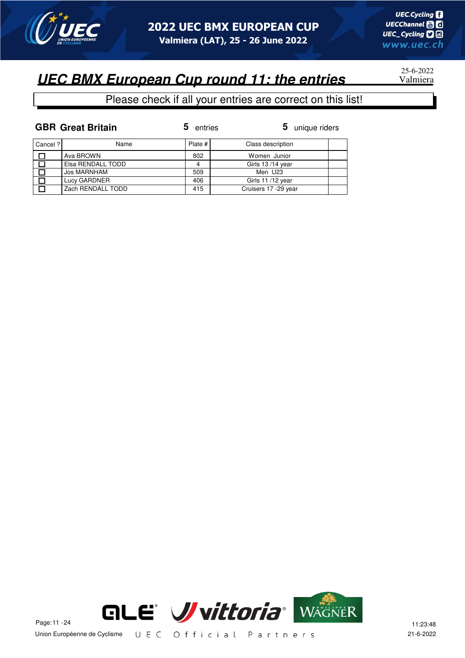

25-6-2022

|          | <b>GBR Great Britain</b> | 5 entries | 5 unique riders      |  |
|----------|--------------------------|-----------|----------------------|--|
| Cancel ? | Name                     | Plate #   | Class description    |  |
|          | Ava BROWN                | 802       | Women Junior         |  |
|          | Elsa RENDALL TODD        | 4         | Girls 13/14 year     |  |
|          | Jos MARNHAM              | 509       | Men U23              |  |
|          | Lucy GARDNER             | 406       | Girls 11/12 year     |  |
|          | Zach RENDALL TODD        | 415       | Cruisers 17 -29 year |  |

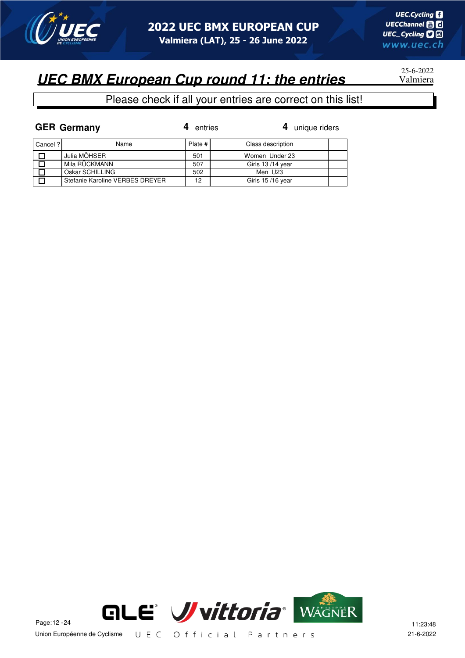

25-6-2022

#### Please check if all your entries are correct on this list!

|          | <b>GER Germany</b>              | entries | 4 unique riders   |  |
|----------|---------------------------------|---------|-------------------|--|
| Cancel ? | Name                            | Plate # | Class description |  |
|          | Julia MÖHSER                    | 501     | Women Under 23    |  |
|          | Mila RÜCKMANN                   | 507     | Girls 13/14 year  |  |
|          | Oskar SCHILLING                 | 502     | Men U23           |  |
|          | Stefanie Karoline VERBES DREYER | 12      | Girls 15/16 year  |  |



Union Européenne de Cyclisme UEC Official Partners 21-6-2022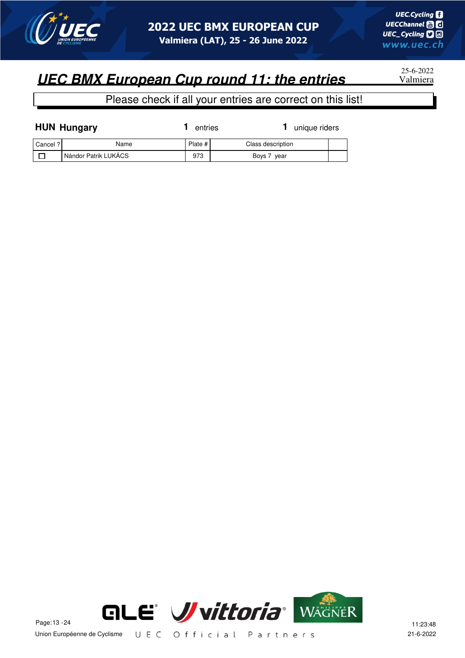

25-6-2022

| <b>HUN Hungary</b> |                      | entries | unique riders     |  |
|--------------------|----------------------|---------|-------------------|--|
| Cancel ?           | Name                 | Plate # | Class description |  |
|                    | Nándor Patrik LUKÁCS | 973     | Boys 7 year       |  |

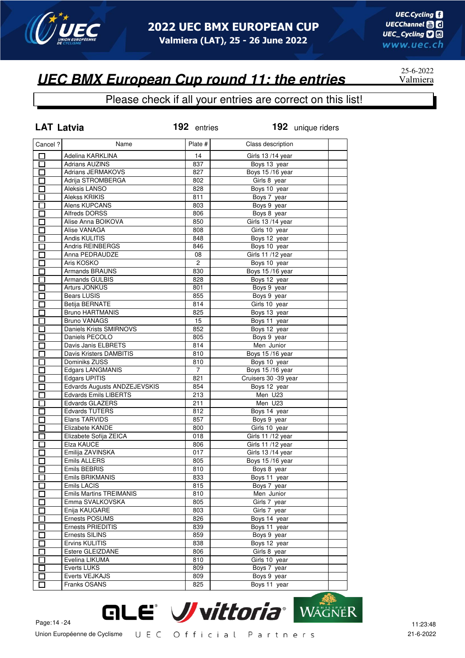

25-6-2022

### **UEC BMX European Cup round 11: the entries** Valmiera

| <b>LAT Latvia</b>                                    |                                | 192 entries | 192 unique riders    |  |
|------------------------------------------------------|--------------------------------|-------------|----------------------|--|
| Cancel?                                              | Name                           | Plate #     | Class description    |  |
| $\Box$                                               | Adelina KARKLINA               | 14          | Girls 13/14 year     |  |
| $\overline{\Box}$                                    | <b>Adrians AUZINS</b>          | 837         | Boys 13 year         |  |
| 囗                                                    | Adrians JERMAKOVS              | 827         | Boys 15/16 year      |  |
| П                                                    | Adrija STROMBERGA              | 802         | Girls 8 year         |  |
| П                                                    | Aleksis LANSO                  | 828         | Boys 10 year         |  |
| П                                                    | <b>Alekss KRIKIS</b>           | 811         | Boys 7 year          |  |
| П                                                    | Alens KUPCANS                  | 803         | Boys 9 year          |  |
| $\Box$                                               | <b>Alfreds DORSS</b>           | 806         | Boys 8 year          |  |
| n an an Aonaichte ag an Sualach an 1977.<br>Tagairtí | Alise Anna BOIKOVA             | 850         | Girls 13/14 year     |  |
| $\overline{\phantom{0}}$                             | Alise VANAGA                   |             |                      |  |
|                                                      | Andis KULITIS                  | 808         | Girls 10 year        |  |
| $\Box$                                               |                                | 848         | Boys 12 year         |  |
| П                                                    | <b>Andris REINBERGS</b>        | 846         | Boys 10 year         |  |
| П                                                    | Anna PEDRAUDZE                 | 08          | Girls 11/12 year     |  |
| П                                                    | Aris KOSKO                     | 2           | Boys 10 year         |  |
| П                                                    | <b>Armands BRAUNS</b>          | 830         | Boys 15/16 year      |  |
| П                                                    | Armands GULBIS                 | 828         | Boys 12 year         |  |
| П                                                    | Arturs JONKUS                  | 801         | Boys 9 year          |  |
| Ī                                                    | <b>Bears LUSIS</b>             | 855         | Boys 9 year          |  |
| П                                                    | <b>Betija BERNATE</b>          | 814         | Girls 10 year        |  |
| П                                                    | <b>Bruno HARTMANIS</b>         | 825         | Boys 13 year         |  |
| П                                                    | Bruno VANAGS                   | 15          | Boys 11 year         |  |
| П                                                    | Daniels Krists SMIRNOVS        | 852         | Boys 12 year         |  |
| $\Box$                                               | Daniels PECOLO                 | 805         | Boys 9 year          |  |
| П                                                    | Davis Janis ELBRETS            | 814         | Men Junior           |  |
| П                                                    | Davis Kristers DAMBITIS        | 810         | Boys 15/16 year      |  |
| П                                                    | Dominiks ZUSS                  | 810         | Boys 10 year         |  |
| $\Box$                                               | Edgars LANGMANIS               | 7           | Boys 15/16 year      |  |
| $\Box$                                               | <b>Edgars UPITIS</b>           | 821         | Cruisers 30 -39 year |  |
| П                                                    | Edvards Augusts ANDZEJEVSKIS   | 854         | Boys 12 year         |  |
| П                                                    | <b>Edvards Emils LIBERTS</b>   | 213         | Men U23              |  |
| П                                                    | Edvards GLAZERS                | 211         | Men U23              |  |
| $\Box$                                               | <b>Edvards TUTERS</b>          | 812         | Boys 14 year         |  |
| П                                                    | Elans TARVIDS                  | 857         | Boys 9 year          |  |
|                                                      | Elizabete KANDE                | 800         | Girls 10 year        |  |
| $\mathbf{I}$                                         | Elizabete Sofija ZEICA         | 018         | Girls 11/12 year     |  |
|                                                      | Elza KAUCE                     | 806         | Girls 11/12 year     |  |
|                                                      | Emilija ZAVINSKA               | 017         | Girls 13/14 year     |  |
|                                                      | <b>Emils ALLERS</b>            | 805         | Boys 15/16 year      |  |
| П                                                    | Emils BEBRIS                   | 810         |                      |  |
|                                                      | Emils BRIKMANIS                |             | Boys 8 year          |  |
| $\mathsf{L}$                                         |                                | 833         | Boys 11 year         |  |
| $\overline{\phantom{a}}$                             | Emils LACIS                    | 815         | Boys 7 year          |  |
| П                                                    | <b>Emils Martins TREIMANIS</b> | 810         | Men Junior           |  |
| $\overline{\phantom{0}}$                             | Emma SVALKOVSKA                | 805         | Girls 7 year         |  |
| I I                                                  | Enija KAUGARE                  | 803         | Girls 7 year         |  |
| П                                                    | Ernests POSUMS                 | 826         | Boys 14 year         |  |
| $\mathsf{\Gamma}$                                    | <b>Ernests PRIEDITIS</b>       | 839         | Boys 11 year         |  |
| П                                                    | Ernests SILINS                 | 859         | Boys 9 year          |  |
| П                                                    | Ervins KULITIS                 | 838         | Boys 12 year         |  |
| П                                                    | Estere GLEIZDANE               | 806         | Girls 8 year         |  |
| П                                                    | Evelina LIKUMA                 | 810         | Girls 10 year        |  |
| П                                                    | Everts LUKS                    | 809         | Boys 7 year          |  |
| $\Box$                                               | Everts VEJKAJS                 | 809         | Boys 9 year          |  |
|                                                      | Franks OSANS                   | 825         | Boys 11 year         |  |

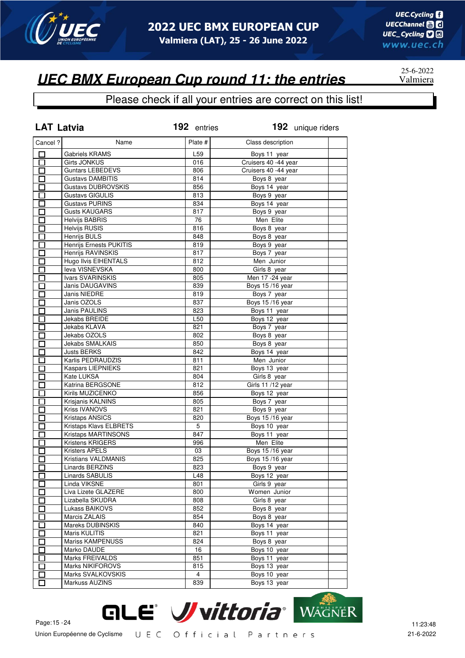

#### Please check if all your entries are correct on this list!

| <b>LAT Latvia</b>        |                             | 192 entries    | 192 unique riders    |  |
|--------------------------|-----------------------------|----------------|----------------------|--|
| Cancel ?                 | Name                        | Plate #        | Class description    |  |
| □                        | Gabriels KRAMS              | L59            | Boys 11 year         |  |
| $\Box$                   | <b>Girts JONKUS</b>         | 016            | Cruisers 40 -44 year |  |
| $\Box$                   | <b>Guntars LEBEDEVS</b>     | 806            | Cruisers 40 -44 year |  |
| $\Box$                   | <b>Gustavs DAMBITIS</b>     | 814            | Boys 8 year          |  |
| 口                        | <b>Gustavs DUBROVSKIS</b>   | 856            | Boys 14 year         |  |
| $\Box$                   | <b>Gustavs GIGULIS</b>      | 813            | Boys 9 year          |  |
| $\Box$                   | <b>Gustavs PURINS</b>       | 834            | Boys 14 year         |  |
| $\Box$                   | <b>Gusts KAUGARS</b>        | 817            | Boys 9 year          |  |
| $\Box$                   | <b>Helvijs BABRIS</b>       | 76             | Men Elite            |  |
| П                        | <b>Helvijs RUSIS</b>        | 816            | Boys 8 year          |  |
| П                        | Henrijs BULS                | 848            | Boys 8 year          |  |
| П                        | Henrijs Ernests PUKITIS     | 819            | Boys 9 year          |  |
| П                        | Henrijs RAVINSKIS           | 817            | Boys 7 year          |  |
| П                        | <b>Hugo Ilvis EIHENTALS</b> | 812            | Men Junior           |  |
| Π                        | leva VISNEVSKA              | 800            | Girls 8 year         |  |
| Ī                        | Ivars SVARINSKIS            | 805            | Men 17 - 24 year     |  |
|                          | Janis DAUGAVINS             | 839            | Boys 15/16 year      |  |
| $\overline{\phantom{0}}$ | Janis NIEDRE                | 819            | Boys 7 year          |  |
| $\overline{\phantom{0}}$ | Janis OZOLS                 | 837            | Boys 15/16 year      |  |
| П                        | Janis PAULINS               | 823            | Boys 11 year         |  |
| П                        | Jekabs BREIDE               | L50            | Boys 12 year         |  |
| П                        | Jekabs KLAVA                | 821            | Boys 7 year          |  |
| $\Box$                   | Jekabs OZOLS                | 802            | Boys 8 year          |  |
| П                        | <b>Jekabs SMALKAIS</b>      | 850            | Boys 8 year          |  |
| $\Box$                   | <b>Justs BERKS</b>          | 842            | Boys 14 year         |  |
| 囗                        | Karlis PEDRAUDZIS           | 811            | Men Junior           |  |
| $\Box$                   | <b>Kaspars LIEPNIEKS</b>    | 821            | Boys 13 year         |  |
| П                        | Kate LUKSA                  | 804            | Girls 8 year         |  |
| $\Box$                   | Katrina BERGSONE            | 812            | Girls 11 /12 year    |  |
| $\Box$                   | Kirils MUZICENKO            | 856            | Boys 12 year         |  |
| $\Box$                   | Krisjanis KALNINS           | 805            | Boys 7 year          |  |
| П                        | Kriss IVANOVS               | 821            | Boys 9 year          |  |
| $\Box$                   | <b>Kristaps ANSICS</b>      | 820            | Boys 15/16 year      |  |
| $\Box$                   | Kristaps Klavs ELBRETS      | 5              | Boys 10 year         |  |
| $\Box$                   | <b>Kristaps MARTINSONS</b>  | 847            | Boys 11 year         |  |
| $\Box$                   | Kristens KRIGERS            | 996            | Men Elite            |  |
| $\Box$                   | Kristers APELS              | 03             | Boys 15/16 year      |  |
|                          | Kristians VALDMANIS         | 825            | Boys 15/16 year      |  |
| $\overline{\Box}$        | <b>Linards BERZINS</b>      | 823            | Boys 9 year          |  |
| ப                        | Linards SABULIS             | L48            | Boys 12 year         |  |
| П                        | Linda VIKSNE                | 801            | Girls 9 year         |  |
| $\mathsf{\Gamma}$        | Liva Lizete GLAZERE         | 800            | Women Junior         |  |
| $\mathbf{I}$             | Lizabella SKUDRA            | 808            | Girls 8 year         |  |
| $\mathbf{I}$             | Lukass BAIKOVS              | 852            | Boys 8 year          |  |
| Π                        | Marcis ZALAIS               | 854            | Boys 8 year          |  |
| $\mathbf{r}$             | Mareks DUBINSKIS            | 840            | Boys 14 year         |  |
| П                        | Maris KULITIS               | 821            | Boys 11 year         |  |
| $\overline{\phantom{a}}$ | Mariss KAMPENUSS            | 824            | Boys 8 year          |  |
|                          | Marko DAUDE                 | 16             | Boys 10 year         |  |
| $\mathbf{r}$             | Marks FREIVALDS             | 851            |                      |  |
| $\mathbf{I}$             | <b>Marks NIKIFOROVS</b>     | 815            | Boys 11 year         |  |
| $\mathsf{\Gamma}$        | Marks SVALKOVSKIS           | $\overline{4}$ | Boys 13 year         |  |
| П                        | Markuss AUZINS              |                | Boys 10 year         |  |
| Ī                        |                             | 839            | Boys 13 year         |  |



25-6-2022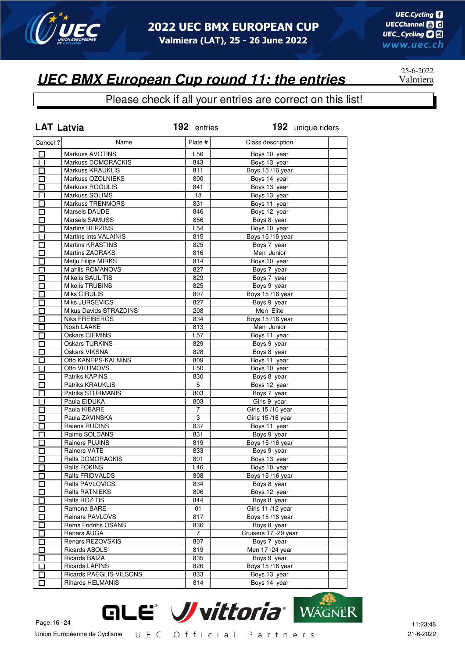

25-6-2022

### **UEC BMX European Cup round 11: the entries** Valmiera

| <b>LAT Latvia</b> |                              | 192 entries     | 192 unique riders      |  |
|-------------------|------------------------------|-----------------|------------------------|--|
| Cancel ?          | Name                         | Plate #         | Class description      |  |
| 口                 | <b>Markuss AVOTINS</b>       | L56             | Boys 10 year           |  |
| 囗                 | Markuss DOMORACKIS           | 843             | Boys 13 year           |  |
| 囗                 | Markuss KRAUKLIS             | 811             | Boys 15/16 year        |  |
| $\Box$            | Markuss OZOLNIEKS            | 800             | Boys 14 year           |  |
| $\Box$            | Markuss ROGULIS              | 841             | Boys 13 year           |  |
| $\Box$            | Markuss SOLIMS               | 18              | Boys 13 year           |  |
| 口                 | <b>Markuss TRENMORS</b>      | 831             | Boys 11 year           |  |
| $\Box$            | Marsels DAUDE                | 846             | Boys 12 year           |  |
| $\Box$            | Marsels SAMUSS               | 856             | Boys 8 year            |  |
| $\overline{\Box}$ | <b>Martins BERZINS</b>       | L <sub>54</sub> | Boys 10 year           |  |
| $\Box$            | <b>Martins Ints VALAINIS</b> | 815             | Boys 15/16 year        |  |
| $\Box$            | <b>Martins KRASTINS</b>      | 825             | Boys 7 year            |  |
| П                 | <b>Martins ZADRAKS</b>       | 816             | Men Junior             |  |
| П                 | Metju Filips MIRKS           | 814             | Boys 10 year           |  |
| П                 | Miahils ROMANOVS             | 827             | Boys 7 year            |  |
| $\Box$            | Mikelis SAULITIS             | 829             | Boys 7 year            |  |
| $\Box$            | <b>Mikelis TRUBINS</b>       | 825             | Boys 9 year            |  |
| П                 | Miks CIRULIS                 | 807             | <b>Boys 15/16 year</b> |  |
| П                 | Miks JURSEVICS               | 827             | Boys 9 year            |  |
| $\Box$            | Mikus Davids STRAZDINS       | 208             | Men Elite              |  |
| $\Box$            | <b>Niks FREIBERGS</b>        | 834             | Boys 15/16 year        |  |
| П                 | Noah LAAKE                   | 813             | Men Junior             |  |
|                   | <b>Oskars CIEMINS</b>        | L57             |                        |  |
| $\Box$            | <b>Oskars TURKINS</b>        |                 | Boys 11 year           |  |
| $\Box$            |                              | 829             | Boys 9 year            |  |
| □                 | <b>Oskars VIKSNA</b>         | 828             | Boys 8 year            |  |
| 囗                 | Otto KANEPS-KALNINS          | 809             | Boys 11 year           |  |
| $\Box$            | Otto VILUMOVS                | L50             | Boys 10 year           |  |
| 亘                 | Patriks KAPINS               | 830             | Boys 8 year            |  |
| $\Box$            | Patriks KRAUKLIS             | 5               | Boys 12 year           |  |
| $\Box$            | <b>Patriks STURMANIS</b>     | 803             | Boys 7 year            |  |
| $\Box$            | Paula EIDUKA                 | 803             | Girls 9 year           |  |
| $\Box$            | Paula KIBARE                 | 7               | Girls 15/16 year       |  |
| $\Box$            | Paula ZAVINSKA               | 3               | Girls 15/16 year       |  |
| $\Box$            | Raiens RUDINS                | 837             | Boys 11 year           |  |
| $\Box$            | Raimo SOLDANS                | 831             | Boys 9 year            |  |
| Ú                 | Rainers PUJINS               | 819             | Boys 15/16 year        |  |
| $\Box$            | Rainers VATE                 | 833             | Boys 9 year            |  |
|                   | Ralfs DOMORACKIS             | 801             | Boys 13 year           |  |
| $\overline{\Box}$ | Ralfs FOKINS                 | L46             | Boys 10 year           |  |
| ப                 | Ralfs FRIDVALDS              | 808             | Boys 15/16 year        |  |
| П                 | Ralfs PAVLOVICS              | 834             | Boys 8 year            |  |
|                   | Ralfs RATNIEKS               | 806             | Boys 12 year           |  |
| Г                 | Ralfs ROZITIS                | 844             | Boys 8 year            |  |
| $\Box$            | Ramona BARE                  | 01              | Girls 11 /12 year      |  |
| П                 | Reinars PAVLOVS              | 817             | Boys 15/16 year        |  |
| $\blacksquare$    | Rems Fridrihs OSANS          | 836             | Boys 8 year            |  |
| П                 | Renars AUGA                  | $\overline{7}$  | Cruisers 17 - 29 year  |  |
| $\Box$            | Renars REZOVSKIS             | 807             | Boys 7 year            |  |
| $\mathsf{\Gamma}$ | <b>Ricards ABOLS</b>         | 819             | Men 17 - 24 year       |  |
| П                 | Ricards BAIZA                | 835             | Boys 9 year            |  |
| П                 | <b>Ricards LAPINS</b>        | 826             | Boys 15/16 year        |  |
| $\Box$            | Ricards PAEGLIS-VILSONS      | 833             | Boys 13 year           |  |
| $\Box$            | Rihards HELMANIS             | 814             | Boys 14 year           |  |

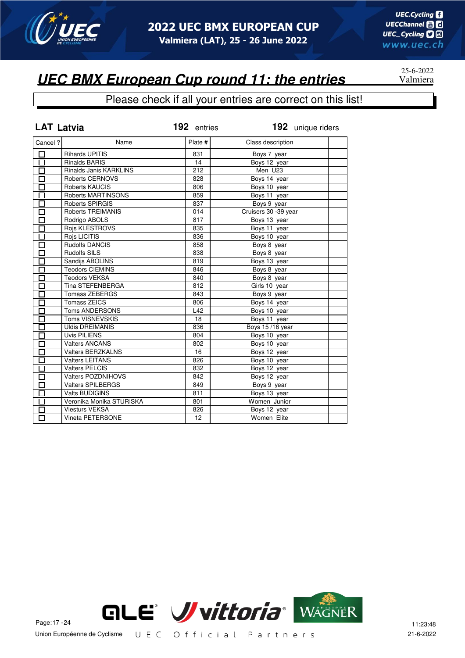

#### Please check if all your entries are correct on this list!

| <b>LAT Latvia</b>    |                           | 192 entries |                       | 192 unique riders |
|----------------------|---------------------------|-------------|-----------------------|-------------------|
| Cancel ?             | Name                      | Plate #     | Class description     |                   |
| 囗                    | <b>Rihards UPITIS</b>     | 831         | Boys 7 year           |                   |
| $\overline{\Box}$    | <b>Rinalds BARIS</b>      | 14          | Boys 12 year          |                   |
| $\overline{\Box}$    | Rinalds Janis KARKLINS    | 212         | Men U23               |                   |
| $\Box$               | Roberts CERNOVS           | 828         | Boys 14 year          |                   |
| $\overline{\Box}$    | Roberts KAUCIS            | 806         | Boys 10 year          |                   |
| $\overline{\Box}$    | Roberts MARTINSONS        | 859         | Boys 11 year          |                   |
| $\Box$               | Roberts SPIRGIS           | 837         | Boys 9 year           |                   |
| $\Box$               | Roberts TREIMANIS         | 014         | Cruisers 30 - 39 year |                   |
| $\Box$               | Rodrigo ABOLS             | 817         | Boys 13 year          |                   |
| $\Box$               | Rojs KLESTROVS            | 835         | Boys 11 year          |                   |
| $\Box$               | Rojs LICITIS              | 836         | Boys 10 year          |                   |
| Π                    | <b>Rudolfs DANCIS</b>     | 858         | Boys 8 year           |                   |
| $\overline{\Box}$    | <b>Rudolfs SILS</b>       | 838         | Boys 8 year           |                   |
| П                    | Sandijs ABOLINS           | 819         | Boys 13 year          |                   |
| П                    | <b>Teodors CIEMINS</b>    | 846         | Boys 8 year           |                   |
| П                    | <b>Teodors VEKSA</b>      | 840         | Boys 8 year           |                   |
| П                    | <b>Tina STEFENBERGA</b>   | 812         | Girls 10 year         |                   |
| П                    | <b>Tomass ZEBERGS</b>     | 843         | Boys 9 year           |                   |
| П                    | <b>Tomass ZEICS</b>       | 806         | Boys 14 year          |                   |
| П                    | <b>Toms ANDERSONS</b>     | L42         | Boys 10 year          |                   |
| П                    | <b>Toms VISNEVSKIS</b>    | 18          | Boys 11 year          |                   |
| $\Box$               | <b>Uldis DREIMANIS</b>    | 836         | Boys 15/16 year       |                   |
| $\Box$               | <b>Uvis PILIENS</b>       | 804         | Boys 10 year          |                   |
| П                    | <b>Valters ANCANS</b>     | 802         | Boys 10 year          |                   |
| $\Box$               | <b>Valters BERZKALNS</b>  | 16          | Boys 12 year          |                   |
| $\overline{\Box}$    | <b>Valters LEITANS</b>    | 826         | Boys 10 year          |                   |
| $\overline{\Box}$    | Valters PELCIS            | 832         | Boys 12 year          |                   |
| $\overline{\Box}$    | <b>Valters POZDNIHOVS</b> | 842         | Boys 12 year          |                   |
| $\bar{\Xi}$          | <b>Valters SPILBERGS</b>  | 849         | Boys 9 year           |                   |
|                      | <b>Valts BUDIGINS</b>     | 811         | Boys 13 year          |                   |
| $\overline{\square}$ | Veronika Monika STURISKA  | 801         | Women Junior          |                   |
| П                    | <b>Viesturs VEKSA</b>     | 826         | Boys 12 year          |                   |
| $\Box$               | Vineta PETERSONE          | 12          | Women Elite           |                   |



25-6-2022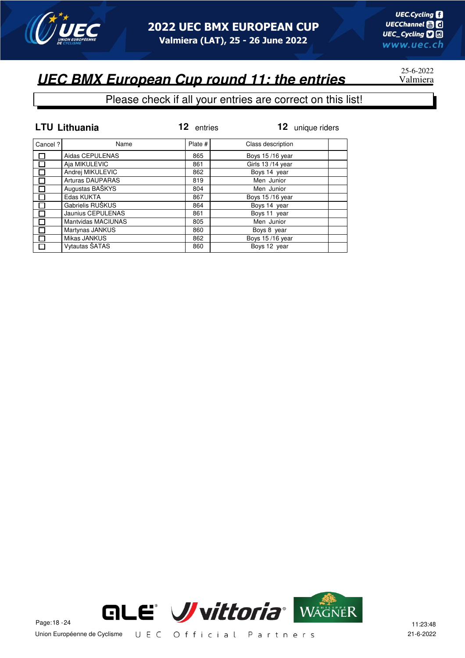

# 25-6-2022

|         | <b>LTU Lithuania</b>      | 12 entries | 12 unique riders  |
|---------|---------------------------|------------|-------------------|
| Cancel? | Name                      | Plate #    | Class description |
|         | Aidas CEPULENAS           | 865        | Boys 15/16 year   |
| П       | Aja MIKULEVIC             | 861        | Girls 13/14 year  |
|         | Andrej MIKULEVIC          | 862        | Boys 14 year      |
|         | <b>Arturas DAUPARAS</b>   | 819        | Men Junior        |
| Π       | Augustas BAŠKYS           | 804        | Men Junior        |
|         | Edas KUKTA                | 867        | Boys 15/16 year   |
|         | Gabrielis RUŠKUS          | 864        | Boys 14 year      |
|         | Jaunius CEPULENAS         | 861        | Boys 11 year      |
|         | <b>Mantvidas MACIUNAS</b> | 805        | Men Junior        |
| П       | Martynas JANKUS           | 860        | Boys 8 year       |
| П       | Mikas JANKUS              | 862        | Boys 15/16 year   |
| П       | Vytautas ŠATAS            | 860        | Boys 12 year      |

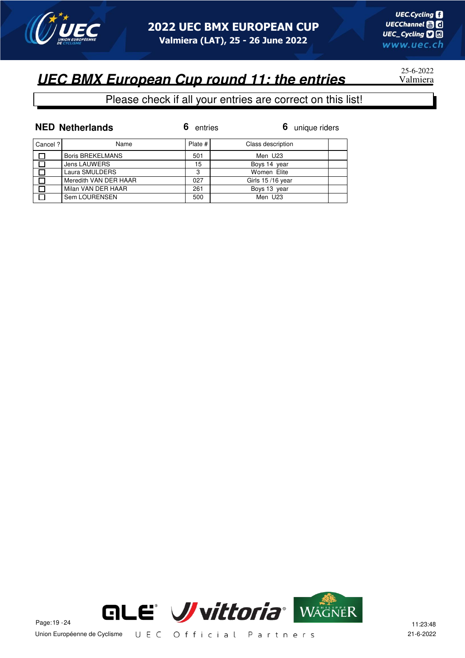

## 25-6-2022

|         | <b>NED Netherlands</b>  | entries | 6 unique riders   |
|---------|-------------------------|---------|-------------------|
| Cancel? | Name                    | Plate # | Class description |
|         | <b>Boris BREKELMANS</b> | 501     | Men U23           |
|         | <b>Jens LAUWERS</b>     | 15      | Boys 14 year      |
|         | Laura SMULDERS          | 3       | Women Elite       |
|         | Meredith VAN DER HAAR   | 027     | Girls 15/16 year  |
|         | Milan VAN DER HAAR      | 261     | Boys 13 year      |
|         | Sem LOURENSEN           | 500     | Men U23           |

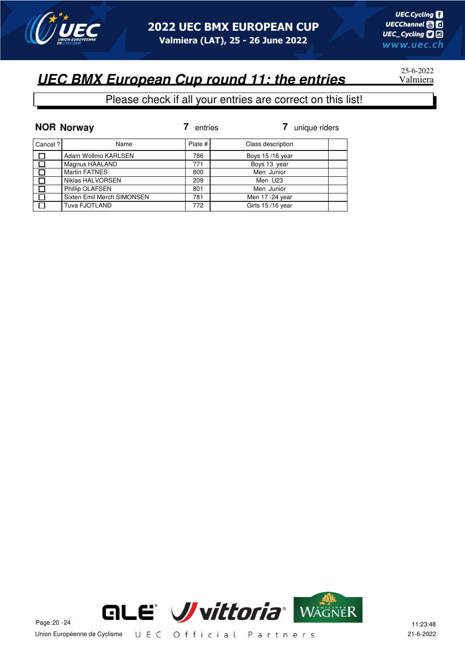

# 25-6-2022

|          | <b>NOR Norway</b>          | entries | unique riders     |
|----------|----------------------------|---------|-------------------|
| Cancel ? | Name                       | Plate # | Class description |
| 口        | Adam Wollmo KARLSEN        | 786     | Boys 15/16 year   |
| $\Box$   | Magnus HAALAND             | 771     | Boys 13 year      |
| ा        | <b>Martin FATNES</b>       | 800     | Men Junior        |
| $\Box$   | Niklas HALVORSEN           | 209     | Men U23           |
| $\Box$   | Phillip OLAFSEN            | 801     | Men Junior        |
| $\Box$   | Sixten Emil Mørch SIMONSEN | 781     | Men 17 -24 year   |
| П        | Tuva FJOTLAND              | 772     | Girls 15/16 year  |

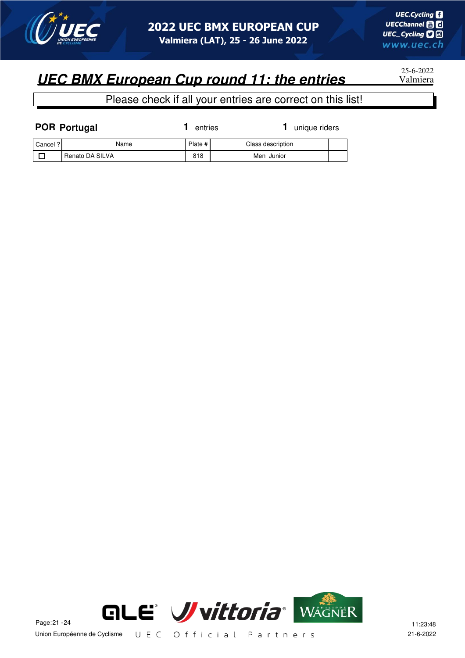

25-6-2022

| <b>POR Portugal</b> |                 | entries   | unique riders     |  |
|---------------------|-----------------|-----------|-------------------|--|
| Cancel ?            | Name            | Plate $#$ | Class description |  |
|                     | Renato DA SILVA | 818       | Men Junior        |  |

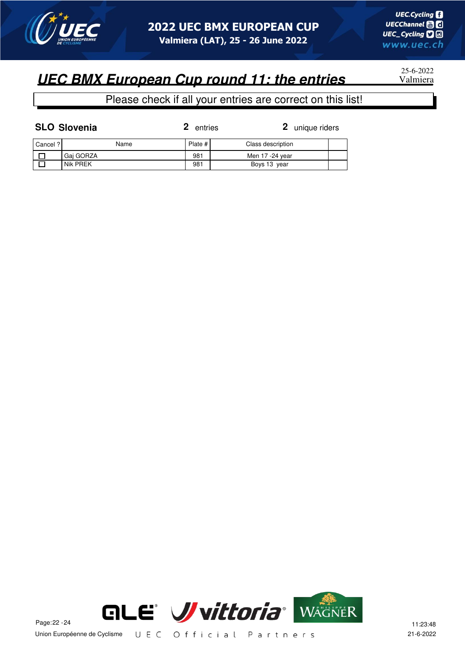

25-6-2022

### Please check if all your entries are correct on this list!

| <b>SLO Slovenia</b> |  |
|---------------------|--|
|                     |  |

**2** entries

**2** unique riders

| Cancel ? | Name      | Plate # | Class description |  |
|----------|-----------|---------|-------------------|--|
|          | Gai GORZA | 981     | Men 17 -24 year   |  |
|          | Nik PREK  | 981     | Boys 13 year      |  |

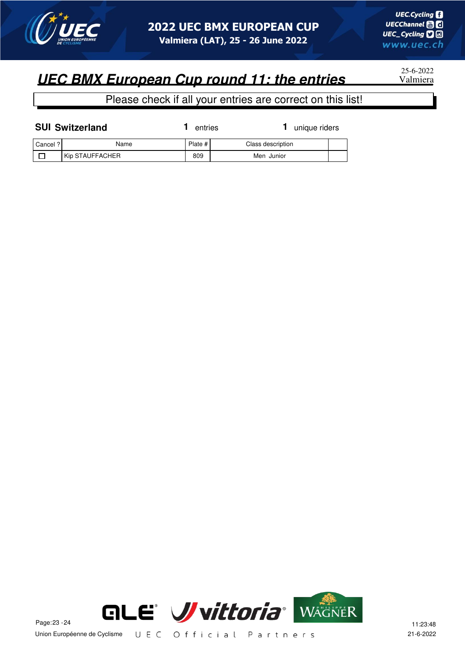

25-6-2022

Please check if all your entries are correct on this list!

| <b>SUI Switzerland</b> |                 | entries |                   | unique riders |  |
|------------------------|-----------------|---------|-------------------|---------------|--|
| Cancel ?               | Name            | Plate # | Class description |               |  |
|                        | Kip STAUFFACHER | 809     | Men Junior        |               |  |



Union Européenne de Cyclisme UEC Official Partners 21-6-2022